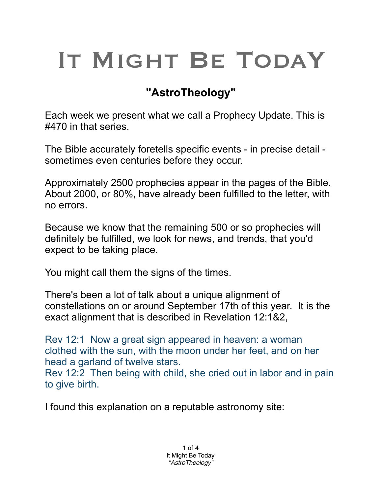## IT MIGHT BE TODAY

## **"AstroTheology"**

Each week we present what we call a Prophecy Update. This is #470 in that series.

The Bible accurately foretells specific events - in precise detail sometimes even centuries before they occur.

Approximately 2500 prophecies appear in the pages of the Bible. About 2000, or 80%, have already been fulfilled to the letter, with no errors.

Because we know that the remaining 500 or so prophecies will definitely be fulfilled, we look for news, and trends, that you'd expect to be taking place.

You might call them the signs of the times.

There's been a lot of talk about a unique alignment of constellations on or around September 17th of this year. It is the exact alignment that is described in Revelation 12:1&2,

Rev 12:1 Now a great sign appeared in heaven: a woman clothed with the sun, with the moon under her feet, and on her head a garland of twelve stars.

Rev 12:2 Then being with child, she cried out in labor and in pain to give birth.

I found this explanation on a reputable astronomy site: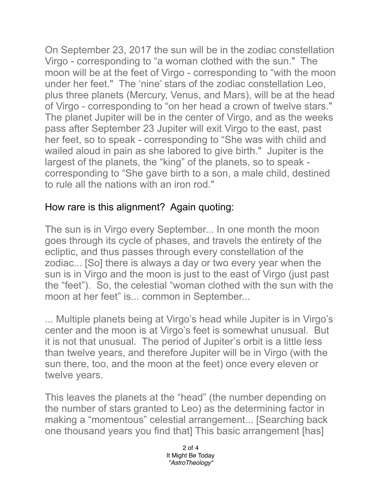On September 23, 2017 the sun will be in the zodiac constellation Virgo - corresponding to "a woman clothed with the sun." The moon will be at the feet of Virgo - corresponding to "with the moon under her feet." The 'nine' stars of the zodiac constellation Leo, plus three planets (Mercury, Venus, and Mars), will be at the head of Virgo - corresponding to "on her head a crown of twelve stars." The planet Jupiter will be in the center of Virgo, and as the weeks pass after September 23 Jupiter will exit Virgo to the east, past her feet, so to speak - corresponding to "She was with child and wailed aloud in pain as she labored to give birth." Jupiter is the largest of the planets, the "king" of the planets, so to speak corresponding to "She gave birth to a son, a male child, destined to rule all the nations with an iron rod."

## How rare is this alignment? Again quoting:

The sun is in Virgo every September... In one month the moon goes through its cycle of phases, and travels the entirety of the ecliptic, and thus passes through every constellation of the zodiac... [So] there is always a day or two every year when the sun is in Virgo and the moon is just to the east of Virgo (just past the "feet"). So, the celestial "woman clothed with the sun with the moon at her feet" is... common in September...

... Multiple planets being at Virgo's head while Jupiter is in Virgo's center and the moon is at Virgo's feet is somewhat unusual. But it is not that unusual. The period of Jupiter's orbit is a little less than twelve years, and therefore Jupiter will be in Virgo (with the sun there, too, and the moon at the feet) once every eleven or twelve years.

This leaves the planets at the "head" (the number depending on the number of stars granted to Leo) as the determining factor in making a "momentous" celestial arrangement... [Searching back one thousand years you find that] This basic arrangement [has]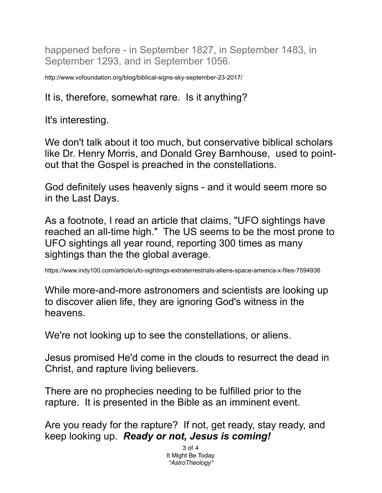happened before - in September 1827, in September 1483, in September 1293, and in September 1056.

http://www.vofoundation.org/blog/biblical-signs-sky-september-23-2017/

## It is, therefore, somewhat rare. Is it anything?

It's interesting.

We don't talk about it too much, but conservative biblical scholars like Dr. Henry Morris, and Donald Grey Barnhouse, used to pointout that the Gospel is preached in the constellations.

God definitely uses heavenly signs - and it would seem more so in the Last Days.

As a footnote, I read an article that claims, "UFO sightings have reached an all-time high." The US seems to be the most prone to UFO sightings all year round, reporting 300 times as many sightings than the the global average.

https://www.indy100.com/article/ufo-sightings-extraterrestrials-aliens-space-america-x-files-7594936

While more-and-more astronomers and scientists are looking up to discover alien life, they are ignoring God's witness in the heavens.

We're not looking up to see the constellations, or aliens.

Jesus promised He'd come in the clouds to resurrect the dead in Christ, and rapture living believers.

There are no prophecies needing to be fulfilled prior to the rapture. It is presented in the Bible as an imminent event.

Are you ready for the rapture? If not, get ready, stay ready, and keep looking up. *Ready or not, Jesus is coming!*

> 3 of 4 It Might Be Today *"AstroTheology"*